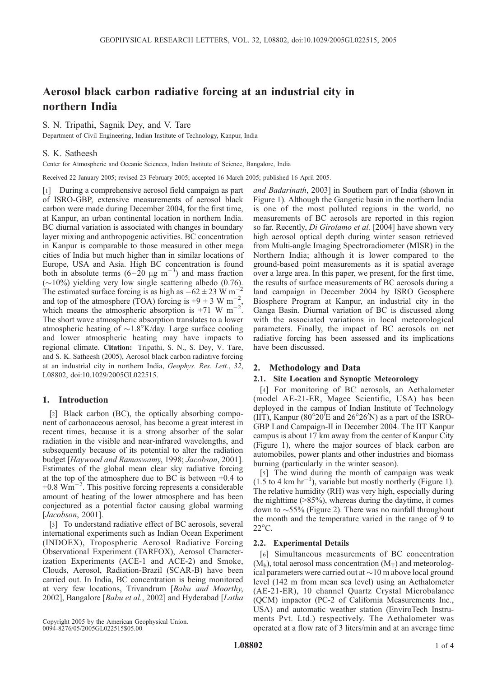# Aerosol black carbon radiative forcing at an industrial city in northern India

S. N. Tripathi, Sagnik Dey, and V. Tare

Department of Civil Engineering, Indian Institute of Technology, Kanpur, India

# S. K. Satheesh

Center for Atmospheric and Oceanic Sciences, Indian Institute of Science, Bangalore, India

Received 22 January 2005; revised 23 February 2005; accepted 16 March 2005; published 16 April 2005.

[1] During a comprehensive aerosol field campaign as part of ISRO-GBP, extensive measurements of aerosol black carbon were made during December 2004, for the first time, at Kanpur, an urban continental location in northern India. BC diurnal variation is associated with changes in boundary layer mixing and anthropogenic activities. BC concentration in Kanpur is comparable to those measured in other mega cities of India but much higher than in similar locations of Europe, USA and Asia. High BC concentration is found both in absolute terms  $(6-20 \mu g m^{-3})$  and mass fraction  $(\sim 10\%)$  yielding very low single scattering albedo (0.76). The estimated surface forcing is as high as  $-62 \pm 23$  W m<sup>-1</sup> and top of the atmosphere (TOA) forcing is +9  $\pm$  3 W m<sup>-2</sup>, which means the atmospheric absorption is +71 W  $m^{-2}$ . The short wave atmospheric absorption translates to a lower atmospheric heating of  $\sim$ 1.8°K/day. Large surface cooling and lower atmospheric heating may have impacts to regional climate. Citation: Tripathi, S. N., S. Dey, V. Tare, and S. K. Satheesh (2005), Aerosol black carbon radiative forcing at an industrial city in northern India, Geophys. Res. Lett., 32, L08802, doi:10.1029/2005GL022515.

## 1. Introduction

[2] Black carbon (BC), the optically absorbing component of carbonaceous aerosol, has become a great interest in recent times, because it is a strong absorber of the solar radiation in the visible and near-infrared wavelengths, and subsequently because of its potential to alter the radiation budget [Haywood and Ramaswamy, 1998; Jacobson, 2001]. Estimates of the global mean clear sky radiative forcing at the top of the atmosphere due to BC is between +0.4 to  $+0.8 \text{ Wm}^{-2}$ . This positive forcing represents a considerable amount of heating of the lower atmosphere and has been conjectured as a potential factor causing global warming [Jacobson, 2001].

[3] To understand radiative effect of BC aerosols, several international experiments such as Indian Ocean Experiment (INDOEX), Tropospheric Aerosol Radiative Forcing Observational Experiment (TARFOX), Aerosol Characterization Experiments (ACE-1 and ACE-2) and Smoke, Clouds, Aerosol, Radiation-Brazil (SCAR-B) have been carried out. In India, BC concentration is being monitored at very few locations, Trivandrum [Babu and Moorthy, 2002], Bangalore [Babu et al., 2002] and Hyderabad [Latha

Copyright 2005 by the American Geophysical Union. 0094-8276/05/2005GL022515\$05.00

and Badarinath, 2003] in Southern part of India (shown in Figure 1). Although the Gangetic basin in the northern India is one of the most polluted regions in the world, no measurements of BC aerosols are reported in this region so far. Recently, *Di Girolamo et al.* [2004] have shown very high aerosol optical depth during winter season retrieved from Multi-angle Imaging Spectroradiometer (MISR) in the Northern India; although it is lower compared to the ground-based point measurements as it is spatial average over a large area. In this paper, we present, for the first time, the results of surface measurements of BC aerosols during a land campaign in December 2004 by ISRO Geosphere Biosphere Program at Kanpur, an industrial city in the Ganga Basin. Diurnal variation of BC is discussed along with the associated variations in local meteorological parameters. Finally, the impact of BC aerosols on net radiative forcing has been assessed and its implications have been discussed.

## 2. Methodology and Data

#### 2.1. Site Location and Synoptic Meteorology

[4] For monitoring of BC aerosols, an Aethalometer (model AE-21-ER, Magee Scientific, USA) has been deployed in the campus of Indian Institute of Technology (IIT), Kanpur ( $80^{\circ}20\text{'E}$  and  $26^{\circ}26\text{'N}$ ) as a part of the ISRO-GBP Land Campaign-II in December 2004. The IIT Kanpur campus is about 17 km away from the center of Kanpur City (Figure 1), where the major sources of black carbon are automobiles, power plants and other industries and biomass burning (particularly in the winter season).

[5] The wind during the month of campaign was weak  $(1.5$  to 4 km hr<sup>-1</sup>), variable but mostly northerly (Figure 1). The relative humidity (RH) was very high, especially during the nighttime (>85%), whereas during the daytime, it comes down to  $\sim$ 55% (Figure 2). There was no rainfall throughout the month and the temperature varied in the range of 9 to  $22^{\circ}$ C.

## 2.2. Experimental Details

[6] Simultaneous measurements of BC concentration  $(M_b)$ , total aerosol mass concentration  $(M_T)$  and meteorological parameters were carried out at  $\sim$  10 m above local ground level (142 m from mean sea level) using an Aethalometer (AE-21-ER), 10 channel Quartz Crystal Microbalance (QCM) impactor (PC-2 of California Measurements Inc., USA) and automatic weather station (EnviroTech Instruments Pvt. Ltd.) respectively. The Aethalometer was operated at a flow rate of 3 liters/min and at an average time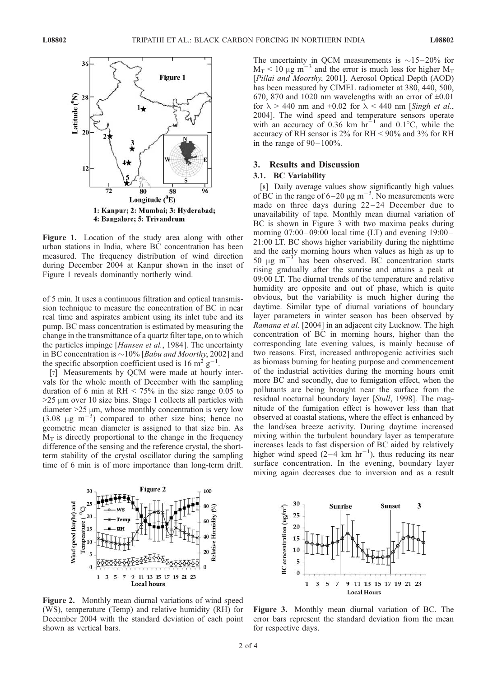

Figure 1. Location of the study area along with other urban stations in India, where BC concentration has been measured. The frequency distribution of wind direction during December 2004 at Kanpur shown in the inset of Figure 1 reveals dominantly northerly wind.

of 5 min. It uses a continuous filtration and optical transmission technique to measure the concentration of BC in near real time and aspirates ambient using its inlet tube and its pump. BC mass concentration is estimated by measuring the change in the transmittance of a quartz filter tape, on to which the particles impinge [Hansen et al., 1984]. The uncertainty in BC concentration is  $\sim$ 10% [*Babu and Moorthy*, 2002] and the specific absorption coefficient used is 16 m<sup>2</sup> g<sup>-1</sup>.

[7] Measurements by QCM were made at hourly intervals for the whole month of December with the sampling duration of 6 min at  $RH < 75\%$  in the size range 0.05 to  $>25 \mu m$  over 10 size bins. Stage 1 collects all particles with diameter  $>25 \mu m$ , whose monthly concentration is very low  $(3.08 \text{ µg m}^{-3})$  compared to other size bins; hence no geometric mean diameter is assigned to that size bin. As  $M_T$  is directly proportional to the change in the frequency difference of the sensing and the reference crystal, the shortterm stability of the crystal oscillator during the sampling time of 6 min is of more importance than long-term drift.



Figure 2. Monthly mean diurnal variations of wind speed (WS), temperature (Temp) and relative humidity (RH) for December 2004 with the standard deviation of each point shown as vertical bars.

The uncertainty in QCM measurements is  $\sim$ 15–20% for  $M_T < 10 \mu g m^{-3}$  and the error is much less for higher  $M_T$ [*Pillai and Moorthy*, 2001]. Aerosol Optical Depth (AOD) has been measured by CIMEL radiometer at 380, 440, 500, 670, 870 and 1020 nm wavelengths with an error of  $\pm 0.01$ for  $\lambda$  > 440 nm and  $\pm 0.02$  for  $\lambda$  < 440 nm [Singh et al., 2004]. The wind speed and temperature sensors operate with an accuracy of 0.36 km  $hr^{-1}$  and 0.1°C, while the accuracy of RH sensor is 2% for RH < 90% and 3% for RH in the range of  $90-100\%$ .

#### 3. Results and Discussion

## 3.1. BC Variability

[8] Daily average values show significantly high values of BC in the range of  $6-20 \mu g$  m<sup>-3</sup>. No measurements were made on three days during  $22-24$  December due to unavailability of tape. Monthly mean diurnal variation of BC is shown in Figure 3 with two maxima peaks during morning  $07:00-09:00$  local time (LT) and evening  $19:00-$ 21:00 LT. BC shows higher variability during the nighttime and the early morning hours when values as high as up to 50  $\mu$ g m<sup>-3</sup> has been observed. BC concentration starts rising gradually after the sunrise and attains a peak at 09:00 LT. The diurnal trends of the temperature and relative humidity are opposite and out of phase, which is quite obvious, but the variability is much higher during the daytime. Similar type of diurnal variations of boundary layer parameters in winter season has been observed by Ramana et al. [2004] in an adjacent city Lucknow. The high concentration of BC in morning hours, higher than the corresponding late evening values, is mainly because of two reasons. First, increased anthropogenic activities such as biomass burning for heating purpose and commencement of the industrial activities during the morning hours emit more BC and secondly, due to fumigation effect, when the pollutants are being brought near the surface from the residual nocturnal boundary layer [Stull, 1998]. The magnitude of the fumigation effect is however less than that observed at coastal stations, where the effect is enhanced by the land/sea breeze activity. During daytime increased mixing within the turbulent boundary layer as temperature increases leads to fast dispersion of BC aided by relatively higher wind speed  $(2-4 \text{ km hr}^{-1})$ , thus reducing its near surface concentration. In the evening, boundary layer mixing again decreases due to inversion and as a result



Figure 3. Monthly mean diurnal variation of BC. The error bars represent the standard deviation from the mean for respective days.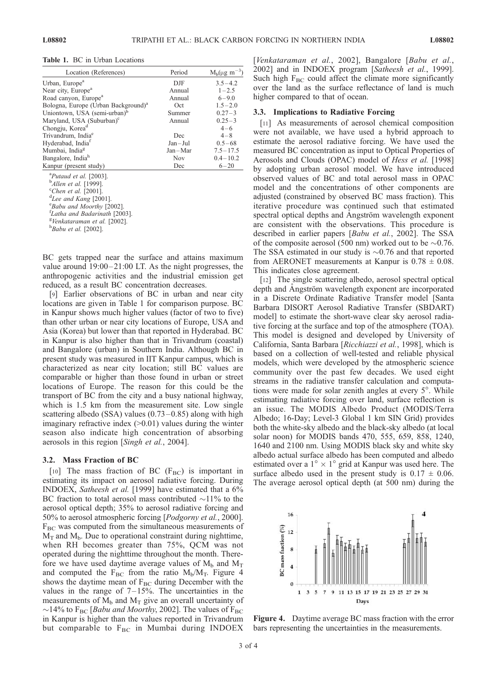Table 1. BC in Urban Locations

| Location (References)                           | Period      | $M_b(\mu g \; m^{-3})$ |
|-------------------------------------------------|-------------|------------------------|
| Urban, Europe <sup>a</sup>                      | $D$ JF      | $3.5 - 4.2$            |
| Near city, Europe <sup>a</sup>                  | Annual      | $1 - 2.5$              |
| Road canyon, Europe <sup>a</sup>                | Annual      | $6 - 9.0$              |
| Bologna, Europe (Urban Background) <sup>a</sup> | Oct         | $1.5 - 2.0$            |
| Uniontown, USA (semi-urban) <sup>b</sup>        | Summer      | $0.27 - 3$             |
| Maryland, USA (Suburban) <sup>c</sup>           | Annual      | $0.25 - 3$             |
| Chongju, Korea <sup>d</sup>                     |             | $4 - 6$                |
| Trivandrum, India <sup>e</sup>                  | Dec         | $4 - 8$                |
| Hyderabad, India <sup>t</sup>                   | $Jan - Jul$ | $0.5 - 68$             |
| Mumbai, India <sup>g</sup>                      | $Jan-Mar$   | $7.5 - 17.5$           |
| Bangalore, India <sup>h</sup>                   | <b>Nov</b>  | $0.4 - 10.2$           |
| Kanpur (present study)                          | Dec         | $6 - 20$               |
| <sup>a</sup> Putand et al [2003]                |             |                        |

<sup>a</sup>Putaud et al. [2003].<br><sup>b</sup>Allen et al. [1999] <sup>b</sup>Allen et al. [1999].<br><sup>c</sup>Chen et al. [2001]

 $^{\circ}$ Chen et al. [2001].

 ${}^{\text{d}}$ Lee and Kang [2001].

 $E<sub>g</sub>Babu$  and Moorthy [2002].

<sup>f</sup>Latha and Badarinath [2003]. <sup>g</sup>Venkataraman et al. [2002].

 $h$ Babu et al. [2002].

BC gets trapped near the surface and attains maximum value around  $19:00-21:00$  LT. As the night progresses, the anthropogenic activities and the industrial emission get reduced, as a result BC concentration decreases.

[9] Earlier observations of BC in urban and near city locations are given in Table 1 for comparison purpose. BC in Kanpur shows much higher values (factor of two to five) than other urban or near city locations of Europe, USA and Asia (Korea) but lower than that reported in Hyderabad. BC in Kanpur is also higher than that in Trivandrum (coastal) and Bangalore (urban) in Southern India. Although BC in present study was measured in IIT Kanpur campus, which is characterized as near city location; still BC values are comparable or higher than those found in urban or street locations of Europe. The reason for this could be the transport of BC from the city and a busy national highway, which is 1.5 km from the measurement site. Low single scattering albedo (SSA) values  $(0.73-0.85)$  along with high imaginary refractive index  $(0.01)$  values during the winter season also indicate high concentration of absorbing aerosols in this region [Singh et al., 2004].

#### 3.2. Mass Fraction of BC

[10] The mass fraction of BC ( $F_{BC}$ ) is important in estimating its impact on aerosol radiative forcing. During INDOEX, Satheesh et al. [1999] have estimated that a 6% BC fraction to total aerosol mass contributed  $\sim$ 11% to the aerosol optical depth; 35% to aerosol radiative forcing and 50% to aerosol atmospheric forcing [Podgorny et al., 2000].  $F_{BC}$  was computed from the simultaneous measurements of  $M_T$  and  $M_b$ . Due to operational constraint during nighttime, when RH becomes greater than 75%, QCM was not operated during the nighttime throughout the month. Therefore we have used daytime average values of  $M_b$  and  $M_T$ and computed the  $F_{BC}$  from the ratio  $M_b/M_T$ . Figure 4 shows the daytime mean of  $F_{BC}$  during December with the values in the range of  $7-15%$ . The uncertainties in the measurements of  $M_b$  and  $M_T$  give an overall uncertainty of  $\sim$ 14% to F<sub>BC</sub> [*Babu and Moorthy*, 2002]. The values of F<sub>BC</sub> in Kanpur is higher than the values reported in Trivandrum but comparable to  $F_{BC}$  in Mumbai during INDOEX

[Venkataraman et al., 2002], Bangalore [Babu et al., 2002] and in INDOEX program [Satheesh et al., 1999]. Such high  $F_{BC}$  could affect the climate more significantly over the land as the surface reflectance of land is much higher compared to that of ocean.

#### 3.3. Implications to Radiative Forcing

[11] As measurements of aerosol chemical composition were not available, we have used a hybrid approach to estimate the aerosol radiative forcing. We have used the measured BC concentration as input to Optical Properties of Aerosols and Clouds (OPAC) model of Hess et al. [1998] by adopting urban aerosol model. We have introduced observed values of BC and total aerosol mass in OPAC model and the concentrations of other components are adjusted (constrained by observed BC mass fraction). This iterative procedure was continued such that estimated spectral optical depths and Angström wavelength exponent are consistent with the observations. This procedure is described in earlier papers [Babu et al., 2002]. The SSA of the composite aerosol (500 nm) worked out to be  $\sim 0.76$ . The SSA estimated in our study is  $\sim 0.76$  and that reported from AERONET measurements at Kanpur is  $0.78 \pm 0.08$ . This indicates close agreement.

[12] The single scattering albedo, aerosol spectral optical depth and Angström wavelength exponent are incorporated in a Discrete Ordinate Radiative Transfer model [Santa Barbara DISORT Aerosol Radiative Transfer (SBDART) model] to estimate the short-wave clear sky aerosol radiative forcing at the surface and top of the atmosphere (TOA). This model is designed and developed by University of California, Santa Barbara [Ricchiazzi et al., 1998], which is based on a collection of well-tested and reliable physical models, which were developed by the atmospheric science community over the past few decades. We used eight streams in the radiative transfer calculation and computations were made for solar zenith angles at every 5°. While estimating radiative forcing over land, surface reflection is an issue. The MODIS Albedo Product (MODIS/Terra Albedo; 16-Day; Level-3 Global 1 km SIN Grid) provides both the white-sky albedo and the black-sky albedo (at local solar noon) for MODIS bands 470, 555, 659, 858, 1240, 1640 and 2100 nm. Using MODIS black sky and white sky albedo actual surface albedo has been computed and albedo estimated over a  $1^{\circ} \times 1^{\circ}$  grid at Kanpur was used here. The surface albedo used in the present study is  $0.17 \pm 0.06$ . The average aerosol optical depth (at 500 nm) during the



Figure 4. Daytime average BC mass fraction with the error bars representing the uncertainties in the measurements.